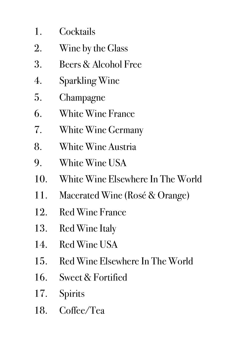- 1. Cocktails
- 2. Wine by the Glass
- 3. Beers & Alcohol Free
- 4. Sparkling Wine
- 5. Champagne
- 6. White Wine France
- 7. White Wine Germany
- 8. White Wine Austria
- 9. White Wine USA
- 10. White Wine Elsewhere In The World
- 11. Macerated Wine (Rosé & Orange)
- 12. Red Wine France
- 13. Red Wine Italy
- 14. Red Wine USA
- 15. Red Wine Elsewhere In The World
- 16. Sweet & Fortified
- 17. Spirits
- 18. Coffee/Tea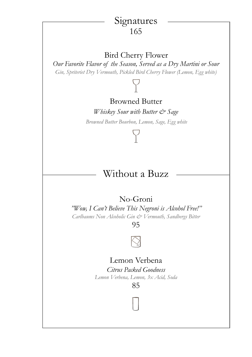# Signatures 165

# Bird Cherry Flower

*Our Favorite Flavor of the Season, Served as a Dry Martini or Sour Gin, Spriteriet Dry Vermouth, Pickled Bird Cherry Flower (Lemon, Egg white)*

# Browned Butter

*Whiskey Sour with Butter & Sage Browned Butter Bourbon, Lemon, Sage, Egg white*

# Without a Buzz

# No-Groni

*"Wow, I Can't Believe This Negroni is Alcohol Free!''*

*Carlbaums Non Alcoholic Gin & Vermouth, Sandbergs Bitter*

95



# Lemon Verbena

*Citrus Packed Goodness Lemon Verbena, Lemon, 3x Acid, Soda*

85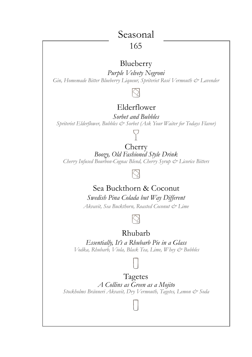# Seasonal

### 165

# Blueberry

*Purple Velvety Negroni Gin, Homemade Bitter Blueberry Liqueur, Spriteriet Rosé Vermouth & Lavender*

# Elderflower

*Sorbet and Bubbles Spriteriet Elderflower, Bubbles & Sorbet (Ask Your Waiter for Todays Flavor)*



Cherry *Boozy, Old Fashioned Style Drink Cherry Infused Bourbon-Cognac Blend, Cherry Syrup & Licorice Bitters*

# Sea Buckthorn & Coconut

*Swedish Pina Colada but Way Different*

*Akvavit, Sea Buckthorn, Roasted Coconut & Lime*



# Rhubarb

*Essentially, It's a Rhubarb Pie in a Glass Vodka, Rhubarb, Viola, Black Tea, Lime, Whey & Bubbles*



Tagetes *A Collins as Green as a Mojito Stockholms Bränneri Akvavit, Dry Vermouth, Tagetes, Lemon & Soda*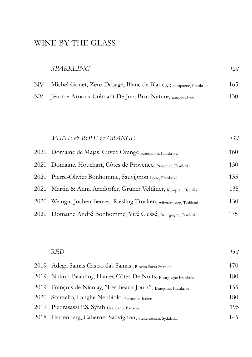# WINE BY THE GLASS

| <b>SPARKLING</b> | 12cl |
|------------------|------|
|                  |      |

| NV | Michel Gonet, Zero Dosage, Blanc de Blancs, Champagne, Frankrike | 165  |
|----|------------------------------------------------------------------|------|
|    | NV Jérome Arnoux Crémant De Jura Brut Nature, Jura, Frankrike    | 130- |

# *WHITE & ROSÉ & ORANGE* 15cl 2020 Domaine de Majas, Cuvée Orange Roussillon, Frankrike, 160 2020 Domaine. Houchart, Côtes de Provence, Provence, Frankrike, 150 2020 Pierre-Olivier Bonhomme, Sauvignon Loire, Frankrike 135 2021 Martin & Anna Arndorfer, Grüner Veltliner, <sub>Kamptal</sub>, Österike 135 2020 Weingut Jochen Beurer, Riesling Trocken, württemberg, Tyskland 130 2020 Domaine André Bonhomme, Viré Clessé, Bourgogne, Frankrike 175

| <b>RED</b>                                                        | 15cl |
|-------------------------------------------------------------------|------|
| 2019 Adega Sainas Castro das Sainas, Ribeira Sacra Spanien        | 170  |
| 2019 Nuiton-Beaunoy, Hautes Côtes De Nuits, Bourgogne Frankrike   | 180  |
| 2019 François de Nicolay, "Les Beaux Jours", Beaujolais Frankrike | 155  |
| 2020 Scarzello, Langhe Nebbiolo Piemonte, Italien                 | 180  |
| 2019 Piedrasassi P.S. Syrah Usa, Santa Barbara                    | 195  |
| 2018 Hartenberg, Cabernet Sauvignon, Stellenbosch, Sydafrika      | 145  |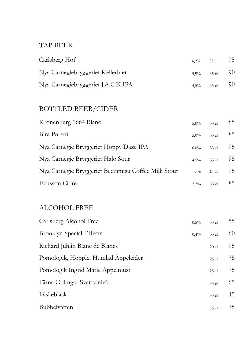### TAP BEER

| Carlsberg Hof                      | 4,2% 35 cl $75$  |  |
|------------------------------------|------------------|--|
| Nya Carnegiebryggeriet Kellerbier  | 5,9% 35 cl 90    |  |
| Nya Carnegiebryggeriet J.A.C.K IPA | $4,5\%$ 35 cl 90 |  |

# BOTTLED BEER/CIDER

| Kronenburg 1664 Blanc                               | $5.0\%$ | 33 cl   | 85  |
|-----------------------------------------------------|---------|---------|-----|
| Bira Poretti                                        | $5.0\%$ | 33 cl   | 85  |
| Nya Carnegie Bryggeriet Hoppy Daze IPA              | $6.0\%$ | 33 cl   | 95  |
| Nya Carnegie Bryggeriet Halo Sour                   | $4.5\%$ | 33 cl   | 95  |
| Nya Carnegie Bryggeriet Beeramisu Coffee Milk Stout | $7\%$   | $33$ cl | 95  |
| Ecusson Cidre                                       | 5.5%    | 33 cl   | 85. |

## ALCOHOL FREE

| Carlsberg Alcohol Free               | 0,5% | 33 cl   | 55 |
|--------------------------------------|------|---------|----|
| <b>Brooklyn Special Effects</b>      | 0,4% | 33 cl   | 60 |
| Richard Juhlin Blanc de Blancs       |      | $20$ cl | 95 |
| Pomologik, Hopple, Humlad Äppelcider |      | $25$ cl | 75 |
| Pomologik Ingrid Marie Äppelmust     |      | $25$ cl | 75 |
| Färna Odlingar Svartvinbär           |      | 33 cl   | 65 |
| Läskeblask                           |      | 33 cl   | 45 |
| Bubbelvatten                         |      | 75 cl   | 35 |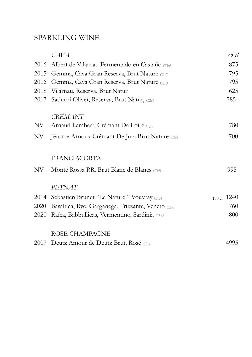#### SPARKLING WINE

|      | CAVA                                              | 75 cl       |
|------|---------------------------------------------------|-------------|
| 2016 | Albert de Vilarnau Fermentado en Castaño c3:6     | 875         |
| 2015 | Gemma, Cava Gran Reserva, Brut Nature C1:7        | 795         |
| 2016 | Gemma, Cava Gran Reserva, Brut Nature C1:9        | 795         |
| 2018 | Vilarnau, Reserva, Brut Natur                     | 625         |
| 2017 | Sadurní Oliver, Reserva, Brut Natur, C2:1         | 785         |
|      | <b>CRÉMANT</b>                                    |             |
| NV.  | Arnaud Lambert, Crémant De Loiré C2:7             | 780         |
| NV   | Jérome Arnoux Crémant De Jura Brut Nature C3:8    | 700         |
|      | FRANCIACORTA                                      |             |
| NV   | Monte Rossa P.R. Brut Blanc de Blancs cas         | 995         |
|      | PETNAT                                            |             |
| 2014 | Sebastien Brunet "Le Naturel" Vouvray C1:4        | 150 cl 1240 |
| 2020 | Basaltica, Ryo, Garganega, Frizzante, Veneto C3:6 | 760         |
| 2020 | Raíca, Babbullicas, Vermentino, Sardinia C3.18    | 800         |
|      | ROSÉ CHAMPAGNE                                    |             |
| 2007 | Deutz Amour de Deutz Brut, Rosé C3:4              | 4995        |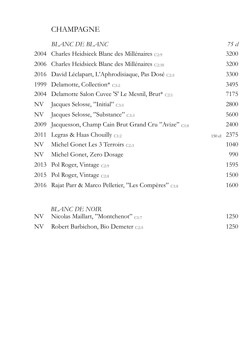# **CHAMPAGNE**

|      | <b>BLANC DE BLANC</b>                                  |          | 75 cl |
|------|--------------------------------------------------------|----------|-------|
|      | 2004 Charles Heidsieck Blanc des Millénaires C2:9      |          | 3200  |
|      | 2006 Charles Heidsieck Blanc des Millénaires C2:10     |          | 3200  |
|      | 2016 David Léclapart, L'Aphrodisiaque, Pas Dosé C2:5   |          | 3300  |
| 1999 | Delamotte, Collection* $_{C3:2}$                       |          | 3495  |
|      | 2004 Delamotte Salon Cuvee 'S' Le Mesnil, Brut* c2:1   |          | 7175  |
| NV   | Jacques Selosse, "Initial" C3:5                        |          | 2800  |
| NV   | Jacques Selosse, "Substance" C3:3                      |          | 5600  |
| 2009 | Jacquesson, Champ Cain Brut Grand Cru "Avize" C1:8     |          | 2400  |
| 2011 | Legras & Haas Chouilly $C1:2$                          | $150$ cl | 2375  |
| NV   | Michel Gonet Les 3 Terroirs C2:3                       |          | 1040  |
| NV   | Michel Gonet, Zero Dosage                              |          | 990   |
|      | 2013 Pol Roger, Vintage C2:9                           |          | 1595  |
|      | 2015 Pol Roger, Vintage C2:8                           |          | 1500  |
|      | 2016 Rajat Parr & Marco Pelletier, "Les Compères" C1:8 |          | 1600  |
|      | BLANC DE NOIR                                          |          |       |

|      | <i>DLAING DE INVII</i> V<br>NV Nicolas Maillart, "Montchenot" C1:7 | 1250 |
|------|--------------------------------------------------------------------|------|
| NV - | Robert Barbichon, Bio Demeter c2.5                                 | 1250 |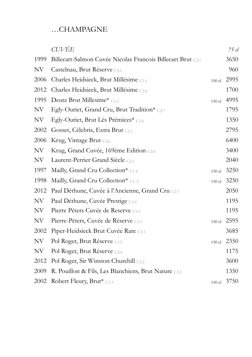# …CHAMPAGNE

|      | <b>CUVÉE</b>                                                |        | 75 cl |
|------|-------------------------------------------------------------|--------|-------|
| 1999 | Billecart-Salmon Cuvée Nicolas Francois Billecart Brut C2:1 |        | 3650  |
| NV   | Castelnau, Brut Réserve C2:5                                |        | 960   |
| 2006 | Charles Heidsieck, Brut Millésime C1:1                      | 150 cl | 2995  |
| 2012 | Charles Heidsieck, Brut Millésime C3:4                      |        | 1700  |
| 1995 | Deutz Brut Millesime* C1:2                                  | 150 cl | 4995  |
| NV   | Egly-Ouriet, Grand Cru, Brut Tradition* C2:7                |        | 1795  |
| NV   | Egly-Ouriet, Brut Lés Prémices* C1:6                        |        | 1350  |
| 2002 | Gosset, Célebris, Extra Brut C2:1                           |        | 2795  |
| 2006 | Krug, Vintage Brut C2:6                                     |        | 6400  |
| NV   | Krug, Grand Cuvée, 169ème Edition C2:6                      |        | 3400  |
| NV   | Laurent-Perrier Grand Siècle C2:1                           |        | 2040  |
| 1997 | Mailly, Grand Cru Collection* C1.4                          | 150 cl | 3250  |
| 1998 | Mailly, Grand Cru Collection* C1.:3                         | 150 cl | 3250  |
| 2012 | Paul Déthune, Cuvée à l'Ancienne, Grand Cru C2:7            |        | 2050  |
| NV   | Paul Déthune, Cuvée Prestige C1:6                           |        | 1195  |
| NV   | Pierre Péters Cuvée de Reserve C1:9                         |        | 1195  |
| NV   | Pierre-Péters, Cuvée de Réserve C1:1                        | 150 cl | 2595  |
| 2002 | Piper-Heidsieck Brut Cuvée Rare C3:1                        |        | 3685  |
| NV   | Pol Roger, Brut Réserve C1:5                                | 150 cl | 2350  |
| NV   | Pol Roger, Brut Réserve C2:4                                |        | 1175  |
| 2012 | Pol Roger, Sir Winston Churchill C2:2                       |        | 3600  |
| 2009 | R. Pouillon & Fils, Les Blanchiens, Brut Nature C3:2        |        | 1350  |
| 2002 | Robert Fleury, Brut* C1:3                                   | 150 cl | 3750  |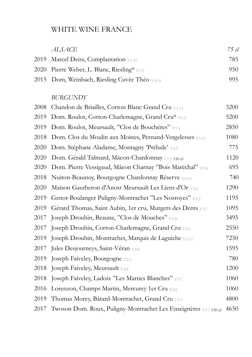#### WHITE WINE FRANCE

# *ALSACE 75 cl*  2019 Marcel Deiss, Complantation V<sub>1:10</sub> 785 2020 Pierre Weber, L. Blanc, Riesling\* V1:5 950 2015 Dom, Weinbach, Riesling Cuvée Théo V3:10 995

#### *BURGUNDY*

| 2008 | Chandon de Briailles, Corton Blanc Grand Cru V1:11               | 3200 |
|------|------------------------------------------------------------------|------|
| 2019 | Dom. Roulot, Corton-Charlemagne, Grand Cru* V1:5                 | 5200 |
| 2019 | Dom. Roulot, Meursault, "Clos de Bouchères" V1:5                 | 2850 |
| 2018 | Dom. Clos du Moulin aux Moines, Pernand-Vergelesses V1:11        | 1080 |
| 2020 | Dom. Stéphane Aladame, Montagny 'Prélude' <sub>V3:5</sub>        | 775  |
| 2020 | Dom. Gérald Talmard, Mâcon-Chardonnay C1:5 150 cl                | 1120 |
| 2020 | Dom. Pierre Vessigaud, Mâcon Charnay "Bois Maréchal" V3:4        | 695  |
| 2018 | Nuiton-Beaunoy, Bourgogne Chardonnay Réserve V2:13               | 740  |
| 2020 | Maison Gautheron d'Anost Meursault Les Liens d'Or V2:2           | 1290 |
| 2019 | Genot-Boulanger Puligny-Montrachet "Les Nosroyes" V1:2           | 1195 |
| 2019 | Gérard Thomas, Saint Aubin, 1er cru, Murgers des Dents V3:7      | 1095 |
| 2017 | Joseph Drouhin, Beaune, "Clos de Mouches" V1:8                   | 3495 |
| 2017 | Joseph Drouhin, Corton-Charlemagne, Grand Cru V2:3               | 2550 |
| 2019 | Joseph Drouhin, Montrachet, Marquis de Laguiche V1:11            | 7250 |
| 2017 | Jules Desjourneys, Saint-Véran V3:8                              | 1595 |
| 2019 | Joseph Faiveley, Bourgogne V2:1                                  | 780  |
| 2018 | Joseph Faiveley, Meursault <sub>V2:8</sub>                       | 1200 |
| 2018 | Joseph Faiveley, Ladoix "Les Marnes Blanches" V3:7               | 1060 |
| 2016 | Lorenzon, Champs Martin, Mercurey 1er Cru V2:6                   | 1060 |
| 2019 | Thomas Morey, Bâtard-Montrachet, Grand Cru V1:3                  | 4800 |
| 2017 | Twoson Dom. Roux, Puligny-Montrachet Les Enseignères V1:1 150 cl | 4650 |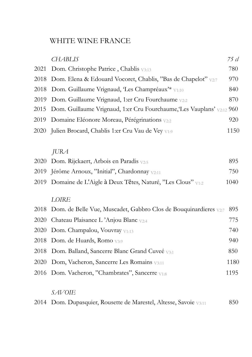# WHITE WINE FRANCE

|      | <b>CHABLIS</b>                                                        | $75$ cl |
|------|-----------------------------------------------------------------------|---------|
| 2021 | Dom. Christophe Patrice, Chablis V3:13                                | 780     |
| 2018 | Dom. Elena & Edouard Vocoret, Chablis, "Bas de Chapelot" v2:7         | 970     |
| 2018 | Dom. Guillaume Vrignaud, 'Les Champréaux'* V1:10                      | 840     |
| 2019 | Dom. Guillaume Vrignaud, 1:er Cru Fourchaume V2:2                     | 870     |
| 2015 | Dom. Guillaume Vrignaud, 1:er Cru Fourchaume, Les Vauplans' V2:12 960 |         |
| 2019 | Domaine Eléonore Moreau, Pérégrinations V2:2                          | 920     |
| 2020 | Julien Brocard, Chablis 1:er Cru Vau de Vey V1:9                      | 1150    |
|      |                                                                       |         |
|      | <b>JURA</b>                                                           |         |
| 2020 | Dom. Rijckaert, Arbois en Paradis v2:5                                | 895     |
|      | 2019 Jérôme Arnoux, "Initial", Chardonnay V2:11                       | 750     |
| 2019 | Domaine de L'Aigle à Deux Têtes, Naturé, "Les Clous" V1:2             | 1040    |
|      |                                                                       |         |
|      | LOIRE                                                                 |         |
| 2018 | Dom. de Belle Vue, Muscadet, Gabbro Clos de Bouquinardieres v2:7      | 895     |
| 2020 | Chateau Plaisance L'Anjou Blanc V2:4                                  | 775     |
| 2020 | Dom. Champalou, Vouvray V1:13                                         | 740     |
| 2018 | Dom. de Huards, Romo v3:9                                             | 940     |
| 2018 | Dom. Balland, Sancerre Blanc Grand Cuveé V3:1                         | 850     |
| 2020 | Dom, Vacheron, Sancerre Les Romains V3:11                             | 1180    |
|      | 2016 Dom. Vacheron, "Chambrates", Sancerre V1:8                       | 1195    |
|      |                                                                       |         |
|      |                                                                       |         |

#### *SAVOIE*

2014 Dom. Dupasquier, Rousette de Marestel, Altesse, Savoie <sub>V3:11</sub> 850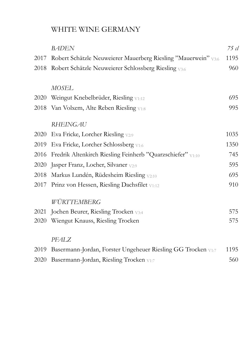# WHITE WINE GERMANY

|      | <b>BADEN</b>                                                   | 75 cl |
|------|----------------------------------------------------------------|-------|
| 2017 | Robert Schätzle Neuweierer Mauerberg Riesling "Mauerwein" V3:6 | 1195  |
| 2018 | Robert Schätzle Neuweierer Schlossberg Riesling V3:6           | 960   |
|      |                                                                |       |
|      | MOSEL                                                          |       |
| 2020 | Weingut Knebelbrüder, Riesling V1:12                           | 695   |
| 2018 | Van Volxem, Alte Reben Riesling $v_{1:8}$                      | 995   |
|      | <b>RHEINGAU</b>                                                |       |
| 2020 | Eva Fricke, Lorcher Riesling V2:9                              | 1035  |
| 2019 | Eva Fricke, Lorcher Schlossberg V1:6                           | 1350  |
| 2016 | Fredrik Altenkirch Riesling Feinherb "Quarzschiefer" V1:10     | 745   |
| 2020 | Jasper Franz, Locher, Silvaner <sub>V2:9</sub>                 | 595   |
| 2018 | Markus Lundén, Rüdesheim Riesling V2:10                        | 695   |
| 2017 | Prinz von Hessen, Riesling Dachsfilet V1:12                    | 910   |
|      | WÜRTTEMBERG                                                    |       |
| 2021 | Jochen Beurer, Riesling Trocken V3:4                           | 575   |
| 2020 | Wiengut Knauss, Riesling Trocken                               | 575   |
|      | PFALZ                                                          |       |
|      |                                                                |       |
| 2019 | Basermann-Jordan, Forster Ungeheuer Riesling GG Trocken V1:7   | 1195  |
| 2020 | Basermann-Jordan, Riesling Trocken V1:7                        | 560   |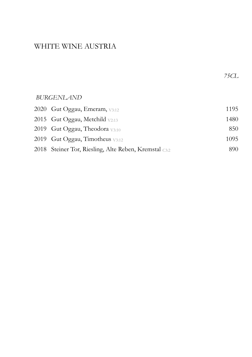# WHITE WINE AUSTRIA

| 2020 Gut Oggau, Emeram, V3:12                         | 1195 |
|-------------------------------------------------------|------|
| 2015 Gut Oggau, Metchild $v_{2:13}$                   | 1480 |
| 2019 Gut Oggau, Theodora $v_{3:10}$                   | 850  |
| 2019 Gut Oggau, Timotheus V3:12                       | 1095 |
| 2018 Steiner Tor, Riesling, Alte Reben, Kremstal C3:2 | 890. |

 *75CL*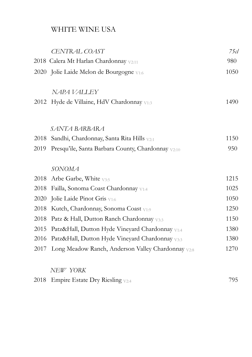# WHITE WINE USA

|      | CENTRAL COAST                                      | 75cl |
|------|----------------------------------------------------|------|
|      | 2018 Calera Mt Harlan Chardonnay V2:11             | 980  |
|      | 2020 Jolie Laide Melon de Bourgogne V1:6           | 1050 |
|      | NAPA VALLEY                                        |      |
|      | 2012 Hyde de Villaine, HdV Chardonnay V1:3         | 1490 |
|      |                                                    |      |
|      | SANTA BARBARA                                      |      |
| 2018 | Sandhi, Chardonnay, Santa Rita Hills V2:1          | 1150 |
| 2019 | Presqu'ile, Santa Barbara County, Chardonnay V2:10 | 950  |
|      | SONOMA                                             |      |
| 2018 | Arbe Garbe, White V3:5                             | 1215 |
| 2018 | Failla, Sonoma Coast Chardonnay V1:4               | 1025 |
| 2020 | Jolie Laide Pinot Gris V1:6                        | 1050 |
| 2018 | Kutch, Chardonnay, Sonoma Coast V1:9               | 1250 |
| 2018 | Patz & Hall, Dutton Ranch Chardonnay V3:3          | 1150 |
| 2015 | Patz&Hall, Dutton Hyde Vineyard Chardonnay V1:4    | 1380 |
| 2016 | Patz&Hall, Dutton Hyde Vineyard Chardonnay V3:3    | 1380 |
| 2017 | Long Meadow Ranch, Anderson Valley Chardonnay V2:8 | 1270 |
|      |                                                    |      |

#### *NEW YORK*

|  | 2018 Empire Estate Dry Riesling $v_{2:4}$ | 795. |
|--|-------------------------------------------|------|
|--|-------------------------------------------|------|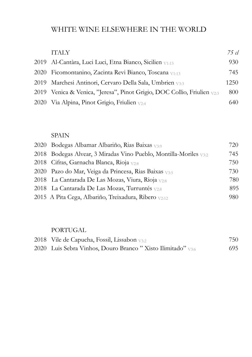# WHITE WINE ELSEWHERE IN THE WORLD

| <b>TTALY</b>                                                            | 75 cl |
|-------------------------------------------------------------------------|-------|
| 2019 Al-Cantàra, Luci Luci, Etna Bianco, Sicilien <sub>V1:13</sub>      | 930   |
| 2020 Ficomontanino, Zacinta Revi Bianco, Toscana v1:13                  | 745   |
| 2019 - Marchesi Antinon, Cervaro Della Sala, Umbrien vaa                | 1250  |
| 2019 Venica & Venica, "Jeresa", Pinot Grigio, DOC Collio, Friulien v2:3 | 800   |
| 2020 Via Alpina, Pinot Grigio, Friulien <sub>V2:4</sub>                 | 640.  |

#### SPAIN

| 2020 Bodegas Albamar Albariño, Rias Baixas <sub>V3:9</sub>        | 720  |
|-------------------------------------------------------------------|------|
| 2018 Bodegas Alvear, 3 Miradas Vino Pueblo, Montilla-Moriles V3:2 | 745  |
| 2018 Cifras, Garnacha Blanca, Rioja v2:8                          | 750- |
| 2020 Pazo do Mar, Veiga da Princesa, Rias Baixas v3:5             | 730- |
| 2018 La Cantarada De Las Mozas, Viura, Rioja v2:8                 | 780. |
| 2018 La Cantarada De Las Mozas, Turruntés $v_{2:8}$               | 895  |
| 2015 A Pita Cega, Albariño, Treixadura, Ribero v2:12              | 980  |

#### PORTUGAL

| 2018 Vile de Capucha, Fossil, Lissabon v3:2                            | 750- |
|------------------------------------------------------------------------|------|
| 2020 Luis Sebra Vinhos, Douro Branco "Xisto Ilimitado" <sub>V3:6</sub> | 695. |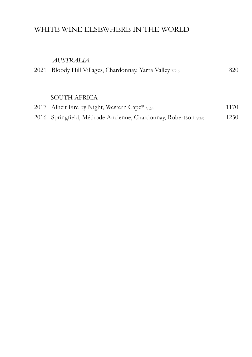# WHITE WINE ELSEWHERE IN THE WORLD

#### *AUSTRALIA*

| 2021 Bloody Hill Villages, Chardonnay, Yarra Valley <sub>V2:6</sub> | 820  |
|---------------------------------------------------------------------|------|
|                                                                     |      |
|                                                                     |      |
| <b>SOUTH AFRICA</b>                                                 |      |
| 2017 Alheit Fire by Night, Western Cape* <sub>V2:4</sub>            | 1170 |

| 2016 Springfield, Méthode Ancienne, Chardonnay, Robertson V3:9 | 1250 |
|----------------------------------------------------------------|------|
|                                                                |      |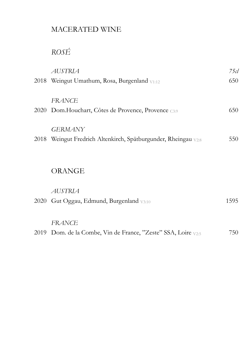# MACERATED WINE

# *ROSÉ*

| <b>AUSTRIA</b>                                                 | 75 cl |
|----------------------------------------------------------------|-------|
| 2018 Weingut Umathum, Rosa, Burgenland V1:12                   | 650   |
| <b>FRANCE</b>                                                  |       |
| 2020 Dom.Houchart, Côtes de Provence, Provence C3:9            | 650   |
| <b>GERMANY</b>                                                 |       |
| 2018 Weingut Fredrich Altenkirch, Spätburgunder, Rheingau V2:8 | 550   |
| <b>ORANGE</b>                                                  |       |
|                                                                |       |
| AUSTRIA                                                        |       |
| 2020 Gut Oggau, Edmund, Burgenland V3:10                       | 1595  |
| <b>FRANCE</b>                                                  |       |
| 2019 Dom. de la Combe, Vin de France, "Zeste" SSA, Loire V2:5  | 750   |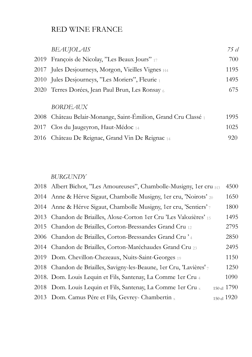# RED WINE FRANCE

|      | <b>BEAUJOLAIS</b>                                              | 75 cl |
|------|----------------------------------------------------------------|-------|
|      | 2019 François de Nicolay, "Les Beaux Jours" 17                 | 700   |
|      | 2017 Jules Desjourneys, Morgon, Vieilles Vignes $_{H4}$        | 1195  |
|      | 2010 Jules Desjourneys, "Les Moriers", Fleurie 1               | 1495  |
|      | 2020 Terres Dorées, Jean Paul Brun, Les Ronsay 6               | 675   |
|      |                                                                |       |
|      | <b>BORDEAUX</b>                                                |       |
|      | 2008 Château Belair-Monange, Saint-Émilion, Grand Cru Classé 1 | 1995  |
| 2017 | Clos du Jaugeyron, Haut-Médoc 14                               | 1025  |
| 2016 | Château De Reignac, Grand Vin De Reignac 14                    | 920   |
|      |                                                                |       |

#### *BURGUNDY*

| 2018 Albert Bichot, "Les Amoureuses", Chambolle-Musigny, 1er cru H3              | 4500        |
|----------------------------------------------------------------------------------|-------------|
| 2014 Anne & Hérve Sigaut, Chambolle Musigny, 1er cru, 'Noirots' 20               | 1650        |
| 2014 Anne & Hérve Sigaut, Chambolle Musigny, 1er cru, 'Sentiers'                 | 1800        |
| 2013 Chandon de Briailles, Aloxe-Corton 1 er Cru 'Les Valozières' 15             | 1495        |
| 2015 Chandon de Briailles, Corton-Bressandes Grand Cru $_{12}$                   | 2795        |
| 2006 Chandon de Briailles, Corton-Bressandes Grand Cru <sup>2</sup> <sup>4</sup> | 2850        |
| 2014 Chandon de Briailles, Corton-Maréchaudes Grand Cru 23                       | 2495        |
| 2019 Dom. Chevillon-Chezeaux, Nuits-Saint-Georges 19                             | 1150        |
| 2018 Chandon de Briailles, Savigny-les-Beaune, 1er Cru, 'Lavières' 7             | 1250        |
| 2018. Dom. Louis Lequin et Fils, Santenay, La Comme 1er Cru 4                    | 1090        |
| 2018 Dom. Louis Lequin et Fils, Santenay, La Comme 1 er Cru x                    | 150 cl 1790 |
| 2013 Dom. Camus Pére et Fils, Gevrey- Chambertin x                               | 150 cl 1920 |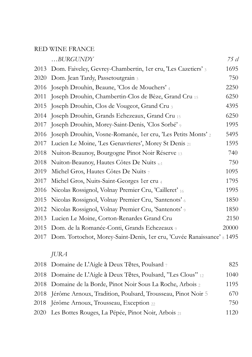### RED WINE FRANCE

|      | BURGUNDY                                                                    | 75 cl |
|------|-----------------------------------------------------------------------------|-------|
|      | 2013 Dom. Faiveley, Gevrey-Chambertin, 1er cru, 'Les Cazetiers' 3           | 1695  |
|      | 2020 Dom. Jean Tardy, Passetoutgrain 3                                      | 750   |
|      | 2016 Joseph Drouhin, Beaune, 'Clos de Mouchers' 4                           | 2250  |
| 2011 | Joseph Drouhin, Chambertin-Clos de Bèze, Grand Cru 15                       | 6250  |
|      | 2015 Joseph Drouhin, Clos de Vougeot, Grand Cru 3                           | 4395  |
|      | 2014 Joseph Drouhin, Grands Echezeaux, Grand Cru 15                         | 6250  |
|      | 2017 Joseph Drouhin, Morey-Saint-Denis, 'Clos Sorbé' 9                      | 1995  |
|      | 2016 Joseph Drouhin, Vosne-Romanée, 1er cru, 'Les Petits Monts' 2           | 5495  |
| 2017 | Lucien Le Moine, 'Les Genavrieres', Morey St Denis 21                       | 1595  |
| 2018 | Nuiton-Beaunoy, Bourgogne Pinot Noir Réserve 13                             | 740   |
| 2018 | Nuiton-Beaunoy, Hautes Côtes De Nuits x:1                                   | 750   |
| 2019 | Michel Gros, Hautes Côtes De Nuits 7                                        | 1095  |
| 2017 | Michel Gros, Nuits-Saint-Georges 1er cru 4                                  | 1795  |
| 2016 | Nicolas Rossignol, Volnay Premier Cru, 'Cailleret' 16                       | 1995  |
| 2015 | Nicolas Rossignol, Volnay Premier Cru, 'Santenots' 6                        | 1850  |
| 2012 | Nicolas Rossignol, Volnay Premier Cru, 'Santenots' 9                        | 1850  |
|      | 2013 Lucien Le Moine, Corton-Renardes Grand Cru                             | 2150  |
|      | 2015 Dom. de la Romanée-Conti, Grands Echezeaux 9                           | 20000 |
|      | 2017 Dom. Tortochot, Morey-Saint-Denis, 1er cru, 'Cuvée Ranaissance' 8 1495 |       |

# *JURA*

|  | 2018 Domaine de L'Aigle à Deux Têtes, Poulsard 7                 | 825   |
|--|------------------------------------------------------------------|-------|
|  | 2018 Domaine de L'Aigle à Deux Têtes, Poulsard, "Les Clous" 12   | 1040  |
|  | 2018 Domaine de la Borde, Pinot Noir Sous La Roche, Arbois 2     | 1195  |
|  | 2018 Jérôme Arnoux, Tradition, Poulsard, Trousseau, Pinot Noir 5 | 670.  |
|  | 2018 Jérôme Arnoux, Trousseau, Exception 22                      | 750-  |
|  | 2020 Les Bottes Rouges, La Pépée, Pinot Noir, Arbois 21          | 1120. |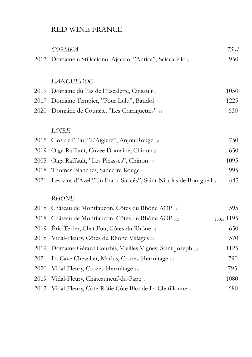# RED WINE FRANCE

|      | <b>CORSIKA</b>                                                  | 75 cl      |
|------|-----------------------------------------------------------------|------------|
| 2017 | Domaine u Stiliccionu, Ajaccio, "Antica", Sciacarello 8         | 950        |
|      |                                                                 |            |
|      | <b>LANGUEDOC</b>                                                |            |
| 2019 | Domaine du Pas de l'Escalette, Cinsault 8                       | 1050       |
| 2017 | Domaine Tempier, "Pour Lulu", Bandol 9                          | 1225       |
| 2020 | Domaine de Coursac, "Les Garriguettes" 11                       | 630        |
|      |                                                                 |            |
|      | LOIRE                                                           |            |
| 2015 | Clos de l'Elu, "L'Aiglere", Anjou Rouge 18                      | 750        |
| 2019 | Olga Raffault, Cuvée Domaine, Chinon 2                          | 650        |
| 2005 | Olga Raffault, "Les Picasses", Chinon 14                        | 1095       |
| 2018 | Thomas Blanches, Sancerre Rouge 9                               | 995        |
| 2021 | Les vins d'Azel "Un Franc Succés", Saint-Nicolas de Bourgueil 5 | 645        |
|      | RHÔNE                                                           |            |
|      |                                                                 |            |
| 2018 | Château de Montfaucon, Côtes du Rhône AOP 16                    | 595        |
| 2018 | Château de Montfaucon, Côtes du Rhône AOP x2                    | 150cl 1195 |
| 2019 | Éric Texier, Chat Fou, Côtes du Rhône 21                        | 650        |
| 2018 | Vidal-Fleury, Côtes du Rhône Villages 21                        | 570        |
| 2019 | Domaine Gérard Courbis, Vieilles Vignes, Saint-Joseph 13        | 1125       |
| 2021 | La Cave Chevalier, Marius, Crozes-Hermitage 12                  | 790        |
| 2020 | Vidal-Fleury, Crozes-Hermitage 18                               | 795        |
| 2019 | Vidal-Fleury, Châteauneuf-du-Pape 3                             | 1080       |
| 2013 | Vidal-Fleury, Côte-Rôtie Côte Blonde La Chatillonne 3           | 1680       |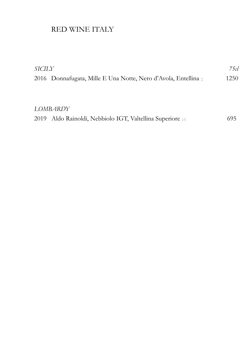# RED WINE ITALY

| <i>SICILY</i> |                                                                | 75 cl |
|---------------|----------------------------------------------------------------|-------|
|               | 2016 Donnafugata, Mille E Una Notte, Nero d'Avola, Entellina 2 | 1250  |
|               |                                                                |       |

#### *LOMBARDY*

|  | 2019 Aldo Rainoldi, Nebbiolo IGT, Valtellina Superiore 15 | 695 |
|--|-----------------------------------------------------------|-----|
|--|-----------------------------------------------------------|-----|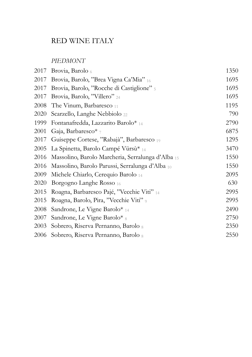# RED WINE ITALY

#### *PIEDMONT*

| 2017 | Brovia, Barolo 6                                  | 1350 |
|------|---------------------------------------------------|------|
| 2017 | Brovia, Barolo, "Brea Vigna Ca'Mia" 16            | 1695 |
| 2017 | Brovia, Barolo, "Rocche di Castiglione" 5         | 1695 |
| 2017 | Brovia, Barolo, "Villero" 24                      | 1695 |
| 2008 | The Vinum, Barbaresco 11                          | 1195 |
| 2020 | Scarzello, Langhe Nebbiolo 22                     | 790  |
| 1999 | Fontanafredda, Lazzarito Barolo* 14               | 2790 |
| 2001 | Gaja, Barbaresco* $7$                             | 6875 |
| 2017 | Guiseppe Cortese, "Rabajà", Barbaresco 19         | 1295 |
| 2005 | La Spinetta, Barolo Campé Vürsù* 14               | 3470 |
| 2016 | Massolino, Barolo Marcheria, Serralunga d'Alba 15 | 1550 |
| 2016 | Massolino, Barolo Parussi, Serralunga d'Alba 10   | 1550 |
| 2009 | Michele Chiarlo, Cerequio Barolo 14               | 2095 |
| 2020 | Borgogno Langhe Rosso 16                          | 630  |
| 2015 | Roagna, Barbaresco Pajé, "Vecchie Viti" 14        | 2995 |
| 2015 | Roagna, Barolo, Pira, "Vecchie Viti" 9            | 2995 |
| 2008 | Sandrone, Le Vigne Barolo* 14                     | 2490 |
| 2007 | Sandrone, Le Vigne Barolo* 8                      | 2750 |
| 2003 | Sobrero, Riserva Pernanno, Barolo 8               | 2350 |
| 2006 | Sobrero, Riserva Pernanno, Barolo 8               | 2550 |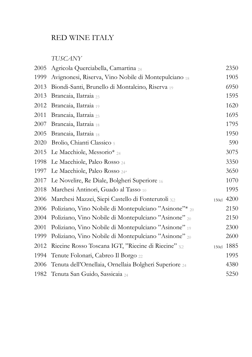# RED WINE ITALY

#### *TUSCANY*

| 2005 | Agricola Querciabella, Camartina 24                    |       | 2350 |
|------|--------------------------------------------------------|-------|------|
| 1999 | Avignonesi, Riserva, Vino Nobile di Montepulciano 18   |       | 1905 |
| 2013 | Biondi-Santi, Brunello di Montalcino, Riserva 19       |       | 6950 |
| 2013 | Brancaia, Ilatraia 23                                  |       | 1595 |
| 2012 | Brancaia, Ilatraia 19                                  |       | 1620 |
| 2011 | Brancaia, Ilatraia 23                                  |       | 1695 |
| 2007 | Brancaia, Ilatraia 18                                  |       | 1795 |
| 2005 | Brancaia, Ilatraia 18                                  |       | 1950 |
| 2020 | Brolio, Chianti Classico 5                             |       | 590  |
| 2015 | Le Macchiole, Messorio* 24                             |       | 3075 |
| 1998 | Le Macchiole, Paleo Rosso 24                           |       | 3350 |
| 1997 | Le Macchiole, Paleo Rosso 24*                          |       | 3650 |
| 2017 | Le Novelire, Re Diale, Bolgheri Superiore 16           |       | 1070 |
| 2018 | Marchesi Antinori, Guado al Tasso 10                   |       | 1995 |
| 2006 | Marchesi Mazzei, Siepi Castello di Fonterutoli x2      | 150c1 | 4200 |
| 2006 | Poliziano, Vino Nobile di Montepulciano "Asinone"* 20  |       | 2150 |
| 2004 | Poliziano, Vino Nobile di Montepulciano "Asinone" 20   |       | 2150 |
| 2001 | Poliziano, Vino Nobile di Montepulciano "Asinone" 19   |       | 2300 |
| 1999 | Poliziano, Vino Nobile di Montepulciano "Asinone" 20   |       | 2600 |
| 2012 | Riecine Rosso Toscana IGT, "Riecine di Riecine" x2     | 150c1 | 1885 |
| 1994 | Tenute Folonari, Cabreo Il Borgo 22                    |       | 1995 |
| 2006 | Tenuta dell'Ornellaia, Ornellaia Bolgheri Superiore 24 |       | 4380 |
| 1982 | Tenuta San Guido, Sassicaia 24                         |       | 5250 |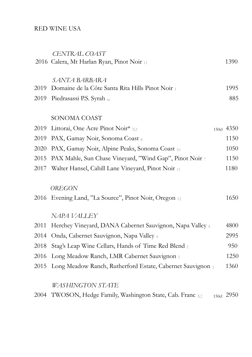#### RED WINE USA

|      | CENTRAL COAST                                              |            |
|------|------------------------------------------------------------|------------|
|      | 2016 Calera, Mt Harlan Ryan, Pinot Noir 11                 | 1390       |
|      |                                                            |            |
|      | SANTA BARBARA                                              |            |
| 2019 | Domaine de la Côte Santa Rita Hills Pinot Noir 1           | 1995       |
|      | 2019 Piedrasassi P.S. Syrah ac                             | 885        |
|      |                                                            |            |
|      | SONOMA COAST                                               |            |
| 2019 | Littorai, One Acre Pinot Noir* x2                          | 150cl 4350 |
| 2019 | PAX, Gamay Noir, Sonoma Coast 8                            | 1150       |
| 2020 | PAX, Gamay Noir, Alpine Peaks, Sonoma Coast 10             | 1050       |
| 2015 | PAX Mahle, Sun Chase Vineyard, "Wind Gap", Pinot Noir 7    | 1150       |
| 2017 | Walter Hansel, Cahill Lane Vineyard, Pinot Noir 11         | 1180       |
|      |                                                            |            |
|      | OREGON                                                     |            |
|      | 2016 Evening Land, "La Source", Pinot Noir, Oregon 12      | 1650       |
|      |                                                            |            |
|      | NAPA VALLEY                                                |            |
| 2011 | Herchey Vineyard, DANA Cabernet Sauvignon, Napa Valley 4   | 4800       |
| 2014 | Onda, Cabernet Sauvignon, Napa Valley 4                    | 2995       |
| 2018 | Stag's Leap Wine Cellars, Hands of Time Red Blend 2        | 950        |
| 2016 | Long Meadow Ranch, LMR Cabernet Sauvignon 5                | 1250       |
| 2015 | Long Meadow Ranch, Rutherford Estate, Cabernet Sauvignon 3 | 1360       |
|      |                                                            |            |
|      |                                                            |            |

# *WASHINGTON STATE*

|  | 2004 TWOSON, Hedge Family, Washington State, Cab. Franc x2 |  |  |  | 150cl 2950 |
|--|------------------------------------------------------------|--|--|--|------------|
|--|------------------------------------------------------------|--|--|--|------------|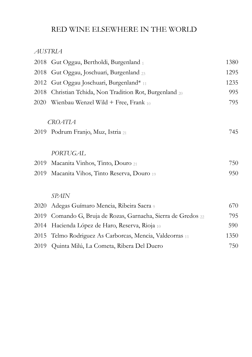# RED WINE ELSEWHERE IN THE WORLD

#### *AUSTRIA*

| 2018 | Gut Oggau, Bertholdi, Burgenland 1                       | 1380 |
|------|----------------------------------------------------------|------|
| 2018 | Gut Oggau, Joschuari, Burgenland 23                      | 1295 |
| 2012 | Gut Oggau Joschuari, Burgenland* 11                      | 1235 |
| 2018 | Christian Tchida, Non Tradition Rot, Burgenland 20       | 995  |
| 2020 | Wienbau Wenzel Wild + Free, Frank $_{10}$                | 795  |
|      | <b>CROATIA</b>                                           |      |
|      | 2019 Podrum Franjo, Muz, Istria 21                       | 745  |
|      | <b>PORTUGAL</b>                                          |      |
| 2019 | Macanita Vinhos, Tinto, Douro 21                         | 750  |
| 2019 | Macanita Vihos, Tinto Reserva, Douro 19                  | 950  |
|      | SPAIN                                                    |      |
| 2020 | Adegas Guímaro Mencia, Ribeira Sacra 9                   | 670  |
| 2019 | Comando G, Bruja de Rozas, Garnacha, Sierra de Gredos 22 | 795  |
| 2014 | Hacienda López de Haro, Reserva, Rioja 10                | 590  |
| 2015 | Telmo Rodriguez As Carborcas, Mencia, Valdeorras 11      | 1350 |
| 2019 | Quinta Milú, La Cometa, Ribera Del Duero                 | 750  |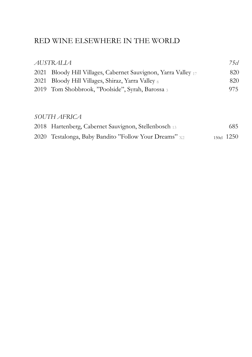# RED WINE ELSEWHERE IN THE WORLD

| AUSTRALIA                                                      | 75cl |
|----------------------------------------------------------------|------|
| 2021 Bloody Hill Villages, Cabernet Sauvignon, Yarra Valley 17 | 820  |
| 2021 Bloody Hill Villages, Shiraz, Yarra Valley 8              | 820  |
| 2019 Tom Shobbrook, "Poolside", Syrah, Barossa 3               | 975  |
|                                                                |      |

#### *SOUTH AFRICA*

| 2018 Hartenberg, Cabernet Sauvignon, Stellenbosch 13  | 685.           |
|-------------------------------------------------------|----------------|
| 2020 Testalonga, Baby Bandito "Follow Your Dreams" x2 | $150c1$ $1250$ |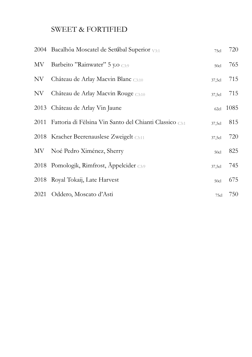# SWEET & FORTIFIED

|      | 2004 Bacalhôa Moscatel de Setúbal Superior V3:1              | 75cl   | 720  |
|------|--------------------------------------------------------------|--------|------|
|      | MV Barbeito "Rainwater" 5 y.o C3:9                           | 50c1   | 765  |
| NV   | Château de Arlay Macvin Blanc C3:10                          | 37,5cl | 715  |
| NV - | Château de Arlay Macvin Rouge $_{C3:10}$                     | 37,5cl | 715  |
|      | 2013 Château de Arlay Vin Jaune                              | 62cl   | 1085 |
|      | 2011 Fattoria di Fèlsina Vin Santo del Chianti Classico C3:1 | 37,5c1 | 815  |
|      | 2018 Kracher Beerenauslese Zweigelt C3:11                    | 37,5cl | 720  |
|      | MV Noé Pedro Ximénez, Sherry                                 | 50c1   | 825  |
|      | 2018 Pomologik, Rimfrost, Äppelcider C3:9                    | 37,5cl | 745  |
|      | 2018 Royal Tokaij, Late Harvest                              | 50c1   | 675  |
|      | 2021 Oddero, Moscato d'Asti                                  | 75cl   | 750  |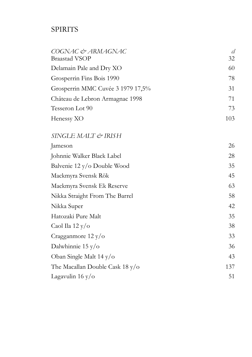# **SPIRITS**

| COGNAC & ARMAGNAC<br><b>Braastad VSOP</b> | cl<br>32 |
|-------------------------------------------|----------|
| Delamain Pale and Dry XO                  | 60       |
| Grosperrin Fins Bois 1990                 | 78       |
| Grosperrin MMC Cuvée 3 1979 17,5%         | 31       |
| Château de Lebron Armagnac 1998           | 71       |
| Tesseron Lot 90                           | 73       |
| Henessy XO                                | 103      |
| SINGLE MALT & IRISH                       |          |
| Jameson                                   | 26       |
| Johnnie Walker Black Label                | 28       |
| Balvenie 12 y/o Double Wood               | 35       |
| Mackmyra Svensk Rök                       | 45       |
| Mackmyra Svensk Ek Reserve                | 63       |
| Nikka Straight From The Barrel            | 58       |
| Nikka Super                               | 42       |
| Hatozaki Pure Malt                        | 35       |
| Caol Ila 12 y/o                           | 38       |
| Cragganmore $12 y/\text{o}$               | 33       |
| Dalwhinnie 15 y/ $\sigma$                 | 36       |
| Oban Single Malt 14 y/o                   | 43       |
| The Macallan Double Cask $18 y/\sigma$    | 137      |
| Lagavulin 16 y/ $\sigma$                  | 51       |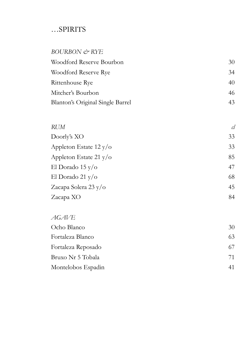# …SPIRITS

#### *BOURBON & RYE*

| 30 |
|----|
| 34 |
| 40 |
| 46 |
| 43 |
|    |

#### *RUM cl*

| Doorly's XO                     | 33 |
|---------------------------------|----|
| Appleton Estate $12 y/\text{o}$ | 33 |
| Appleton Estate 21 $y$ /o       | 85 |
| El Dorado 15 y/o                | 47 |
| El Dorado 21 y/o                | 68 |
| Zacapa Solera 23 y/o            | 45 |
| Zacapa XO                       | 84 |

| <i>AGAVE</i>       |    |
|--------------------|----|
| Ocho Blanco        | 30 |
| Fortaleza Blanco   | 63 |
| Fortaleza Reposado | 67 |
| Bruxo Nr 5 Tobala  | 71 |
| Montelobos Espadin |    |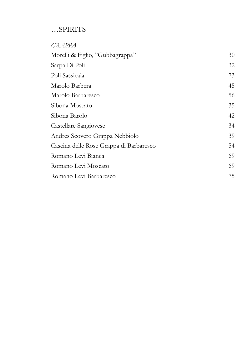# …SPIRITS

| <b>GRAPPA</b>                           |    |
|-----------------------------------------|----|
| Morelli & Figlio, "Gubbagrappa"         | 30 |
| Sarpa Di Poli                           | 32 |
| Poli Sassicaia                          | 73 |
| Marolo Barbera                          | 45 |
| Marolo Barbaresco                       | 56 |
| Sibona Moscato                          | 35 |
| Sibona Barolo                           | 42 |
| Castellare Sangiovese                   | 34 |
| Andres Scovero Grappa Nebbiolo          | 39 |
| Cascina delle Rose Grappa di Barbaresco | 54 |
| Romano Levi Bianca                      | 69 |
| Romano Levi Moscato                     | 69 |
| Romano Levi Barbaresco                  | 75 |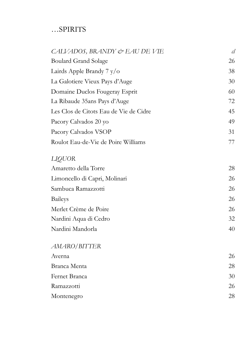# …SPIRITS

| CALVADOS, BRANDY & EAU DE VIE          | cl |
|----------------------------------------|----|
| <b>Boulard Grand Solage</b>            | 26 |
| Lairds Apple Brandy 7 y/o              | 38 |
| La Galotiere Vieux Pays d'Auge         | 30 |
| Domaine Duclos Fougeray Esprit         | 60 |
| La Ribaude 35ans Pays d'Auge           | 72 |
| Les Clos de Citots Eau de Vie de Cidre | 45 |
| Pacory Calvados 20 yo                  | 49 |
| Pacory Calvados VSOP                   | 31 |
| Roulot Eau-de-Vie de Poire Williams    | 77 |
| <b>LIQUOR</b>                          |    |
| Amaretto della Torre                   | 28 |
| Limoncello di Capri, Molinari          | 26 |
| Sambuca Ramazzotti                     | 26 |
| <b>Baileys</b>                         | 26 |
| Merlet Crème de Poire                  | 26 |
| Nardini Aqua di Cedro                  | 32 |
| Nardini Mandorla                       | 40 |
| AMARO/BITTER                           |    |
| Averna                                 | 26 |
| Branca Menta                           | 28 |
| Fernet Branca                          | 30 |
| Ramazzotti                             | 26 |
| Montenegro                             | 28 |
|                                        |    |